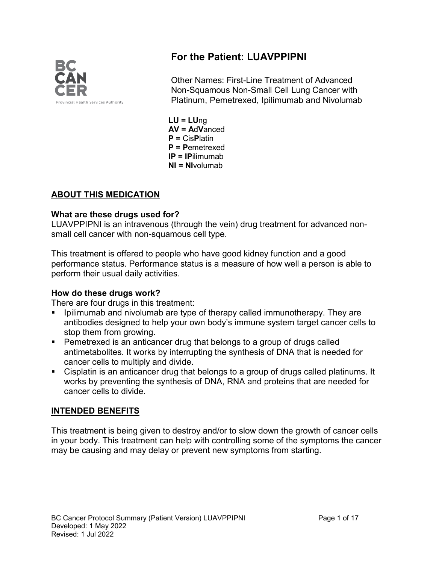

# **For the Patient: LUAVPPIPNI**

Other Names: First-Line Treatment of Advanced Non-Squamous Non-Small Cell Lung Cancer with Platinum, Pemetrexed, Ipilimumab and Nivolumab

**LU = LU**ng **AV = A**d**V**anced **P =** Cis**P**latin **P = P**emetrexed **IP = IP**ilimumab **NI = NI**volumab

#### **ABOUT THIS MEDICATION**

#### **What are these drugs used for?**

LUAVPPIPNI is an intravenous (through the vein) drug treatment for advanced nonsmall cell cancer with non-squamous cell type.

This treatment is offered to people who have good kidney function and a good performance status. Performance status is a measure of how well a person is able to perform their usual daily activities.

#### **How do these drugs work?**

There are four drugs in this treatment:

- Ipilimumab and nivolumab are type of therapy called immunotherapy. They are antibodies designed to help your own body's immune system target cancer cells to stop them from growing.
- **Pemetrexed is an anticancer drug that belongs to a group of drugs called** antimetabolites. It works by interrupting the synthesis of DNA that is needed for cancer cells to multiply and divide.
- Cisplatin is an anticancer drug that belongs to a group of drugs called platinums. It works by preventing the synthesis of DNA, RNA and proteins that are needed for cancer cells to divide.

#### **INTENDED BENEFITS**

This treatment is being given to destroy and/or to slow down the growth of cancer cells in your body. This treatment can help with controlling some of the symptoms the cancer may be causing and may delay or prevent new symptoms from starting.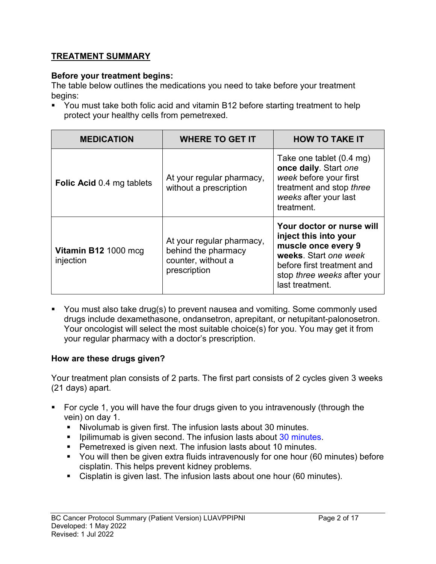### **TREATMENT SUMMARY**

#### **Before your treatment begins:**

The table below outlines the medications you need to take before your treatment begins:

**• You must take both folic acid and vitamin B12 before starting treatment to help** protect your healthy cells from pemetrexed.

| <b>MEDICATION</b>                 | <b>WHERE TO GET IT</b>                                                                 | <b>HOW TO TAKE IT</b>                                                                                                                                                              |
|-----------------------------------|----------------------------------------------------------------------------------------|------------------------------------------------------------------------------------------------------------------------------------------------------------------------------------|
| <b>Folic Acid 0.4 mg tablets</b>  | At your regular pharmacy,<br>without a prescription                                    | Take one tablet (0.4 mg)<br>once daily. Start one<br>week before your first<br>treatment and stop three<br>weeks after your last<br>treatment.                                     |
| Vitamin B12 1000 mcg<br>injection | At your regular pharmacy,<br>behind the pharmacy<br>counter, without a<br>prescription | Your doctor or nurse will<br>inject this into your<br>muscle once every 9<br>weeks. Start one week<br>before first treatment and<br>stop three weeks after your<br>last treatment. |

 You must also take drug(s) to prevent nausea and vomiting. Some commonly used drugs include dexamethasone, ondansetron, aprepitant, or netupitant-palonosetron. Your oncologist will select the most suitable choice(s) for you. You may get it from your regular pharmacy with a doctor's prescription.

#### **How are these drugs given?**

Your treatment plan consists of 2 parts. The first part consists of 2 cycles given 3 weeks (21 days) apart.

- For cycle 1, you will have the four drugs given to you intravenously (through the vein) on day 1.
	- Nivolumab is given first. The infusion lasts about 30 minutes.
	- **Ipilimumab is given second. The infusion lasts about 30 minutes.**
	- **Pemetrexed is given next. The infusion lasts about 10 minutes.**
	- You will then be given extra fluids intravenously for one hour (60 minutes) before cisplatin. This helps prevent kidney problems.
	- Cisplatin is given last. The infusion lasts about one hour (60 minutes).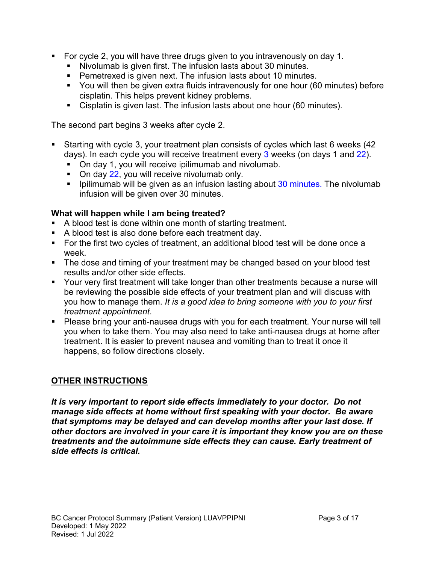- For cycle 2, you will have three drugs given to you intravenously on day 1.
	- Nivolumab is given first. The infusion lasts about 30 minutes.
	- **Pemetrexed is given next. The infusion lasts about 10 minutes.**
	- You will then be given extra fluids intravenously for one hour (60 minutes) before cisplatin. This helps prevent kidney problems.
	- Cisplatin is given last. The infusion lasts about one hour (60 minutes).

The second part begins 3 weeks after cycle 2.

- Starting with cycle 3, your treatment plan consists of cycles which last 6 weeks (42 days). In each cycle you will receive treatment every 3 weeks (on days 1 and 22).
	- **On day 1, you will receive ipilimumab and nivolumab.**
	- $\blacksquare$  On day 22, you will receive nivolumab only.
	- **Ipilimumab will be given as an infusion lasting about 30 minutes. The nivolumab** infusion will be given over 30 minutes.

### **What will happen while I am being treated?**

- A blood test is done within one month of starting treatment.
- A blood test is also done before each treatment day.
- For the first two cycles of treatment, an additional blood test will be done once a week.
- The dose and timing of your treatment may be changed based on your blood test results and/or other side effects.
- Your very first treatment will take longer than other treatments because a nurse will be reviewing the possible side effects of your treatment plan and will discuss with you how to manage them. *It is a good idea to bring someone with you to your first treatment appointment*.
- Please bring your anti-nausea drugs with you for each treatment. Your nurse will tell you when to take them. You may also need to take anti-nausea drugs at home after treatment. It is easier to prevent nausea and vomiting than to treat it once it happens, so follow directions closely.

### **OTHER INSTRUCTIONS**

*It is very important to report side effects immediately to your doctor. Do not manage side effects at home without first speaking with your doctor. Be aware that symptoms may be delayed and can develop months after your last dose. If other doctors are involved in your care it is important they know you are on these treatments and the autoimmune side effects they can cause. Early treatment of side effects is critical.*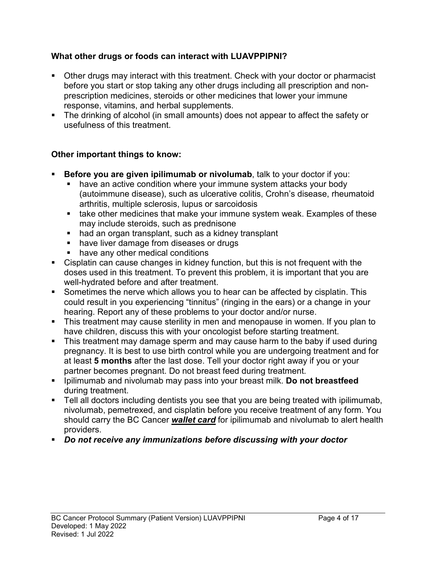### **What other drugs or foods can interact with LUAVPPIPNI?**

- Other drugs may interact with this treatment. Check with your doctor or pharmacist before you start or stop taking any other drugs including all prescription and nonprescription medicines, steroids or other medicines that lower your immune response, vitamins, and herbal supplements.
- The drinking of alcohol (in small amounts) does not appear to affect the safety or usefulness of this treatment.

### **Other important things to know:**

- **Before you are given ipilimumab or nivolumab**, talk to your doctor if you:
	- **have an active condition where your immune system attacks your body** (autoimmune disease), such as ulcerative colitis, Crohn's disease, rheumatoid arthritis, multiple sclerosis, lupus or sarcoidosis
	- **take other medicines that make your immune system weak. Examples of these** may include steroids, such as prednisone
	- had an organ transplant, such as a kidney transplant
	- **have liver damage from diseases or drugs**
	- have any other medical conditions
- Cisplatin can cause changes in kidney function, but this is not frequent with the doses used in this treatment. To prevent this problem, it is important that you are well-hydrated before and after treatment.
- Sometimes the nerve which allows you to hear can be affected by cisplatin. This could result in you experiencing "tinnitus" (ringing in the ears) or a change in your hearing. Report any of these problems to your doctor and/or nurse.
- This treatment may cause sterility in men and menopause in women. If you plan to have children, discuss this with your oncologist before starting treatment.
- This treatment may damage sperm and may cause harm to the baby if used during pregnancy. It is best to use birth control while you are undergoing treatment and for at least **5 months** after the last dose. Tell your doctor right away if you or your partner becomes pregnant. Do not breast feed during treatment.
- Ipilimumab and nivolumab may pass into your breast milk. **Do not breastfeed** during treatment.
- **Tell all doctors including dentists you see that you are being treated with ipilimumab,** nivolumab, pemetrexed, and cisplatin before you receive treatment of any form. You should carry the BC Cancer *wallet card* for ipilimumab and nivolumab to alert health providers.
- *Do not receive any immunizations before discussing with your doctor*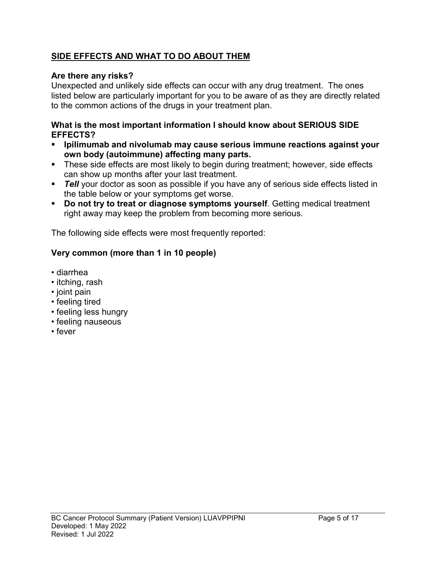### **SIDE EFFECTS AND WHAT TO DO ABOUT THEM**

### **Are there any risks?**

Unexpected and unlikely side effects can occur with any drug treatment. The ones listed below are particularly important for you to be aware of as they are directly related to the common actions of the drugs in your treatment plan.

#### **What is the most important information I should know about SERIOUS SIDE EFFECTS?**

- **Ipilimumab and nivolumab may cause serious immune reactions against your own body (autoimmune) affecting many parts.**
- These side effects are most likely to begin during treatment; however, side effects can show up months after your last treatment.
- **Tell** your doctor as soon as possible if you have any of serious side effects listed in the table below or your symptoms get worse.
- **Do not try to treat or diagnose symptoms yourself**. Getting medical treatment right away may keep the problem from becoming more serious.

The following side effects were most frequently reported:

### **Very common (more than 1 in 10 people)**

- diarrhea
- itching, rash
- joint pain
- feeling tired
- feeling less hungry
- feeling nauseous
- fever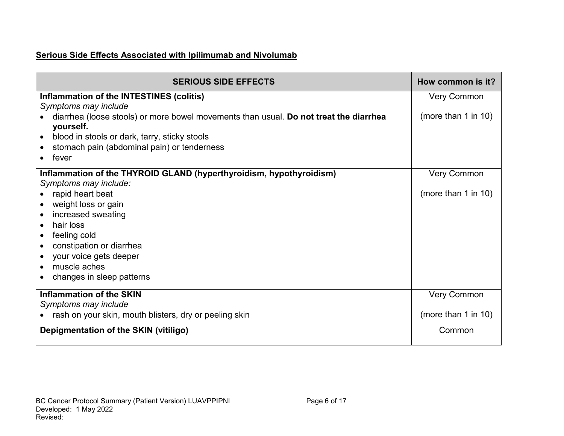# **Serious Side Effects Associated with Ipilimumab and Nivolumab**

| <b>SERIOUS SIDE EFFECTS</b>                                                           | How common is it?   |
|---------------------------------------------------------------------------------------|---------------------|
| Inflammation of the INTESTINES (colitis)                                              | <b>Very Common</b>  |
| Symptoms may include                                                                  |                     |
| diarrhea (loose stools) or more bowel movements than usual. Do not treat the diarrhea | (more than 1 in 10) |
| yourself.                                                                             |                     |
| blood in stools or dark, tarry, sticky stools                                         |                     |
| stomach pain (abdominal pain) or tenderness                                           |                     |
| fever                                                                                 |                     |
| Inflammation of the THYROID GLAND (hyperthyroidism, hypothyroidism)                   | <b>Very Common</b>  |
| Symptoms may include:                                                                 |                     |
| rapid heart beat                                                                      | (more than 1 in 10) |
| weight loss or gain                                                                   |                     |
| increased sweating                                                                    |                     |
| hair loss                                                                             |                     |
| feeling cold<br>$\bullet$                                                             |                     |
| constipation or diarrhea                                                              |                     |
| your voice gets deeper<br>$\bullet$                                                   |                     |
| muscle aches<br>$\bullet$                                                             |                     |
| changes in sleep patterns                                                             |                     |
| <b>Inflammation of the SKIN</b>                                                       | <b>Very Common</b>  |
| Symptoms may include                                                                  |                     |
| rash on your skin, mouth blisters, dry or peeling skin                                | (more than 1 in 10) |
| Depigmentation of the SKIN (vitiligo)                                                 | Common              |
|                                                                                       |                     |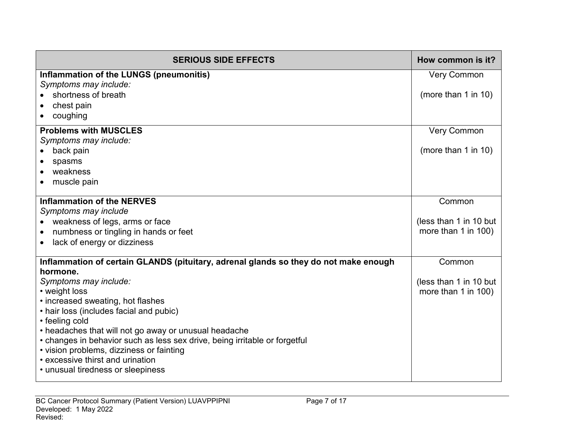| <b>SERIOUS SIDE EFFECTS</b>                                                          | How common is it?      |
|--------------------------------------------------------------------------------------|------------------------|
| Inflammation of the LUNGS (pneumonitis)                                              | <b>Very Common</b>     |
| Symptoms may include:                                                                |                        |
| shortness of breath                                                                  | (more than 1 in 10)    |
| chest pain                                                                           |                        |
| coughing                                                                             |                        |
| <b>Problems with MUSCLES</b>                                                         | <b>Very Common</b>     |
| Symptoms may include:                                                                |                        |
| back pain<br>$\bullet$                                                               | (more than 1 in 10)    |
| spasms<br>weakness<br>$\bullet$                                                      |                        |
| muscle pain                                                                          |                        |
|                                                                                      |                        |
| <b>Inflammation of the NERVES</b>                                                    | Common                 |
| Symptoms may include                                                                 |                        |
| weakness of legs, arms or face                                                       | (less than 1 in 10 but |
| numbness or tingling in hands or feet<br>$\bullet$                                   | more than 1 in 100)    |
| lack of energy or dizziness<br>$\bullet$                                             |                        |
| Inflammation of certain GLANDS (pituitary, adrenal glands so they do not make enough | Common                 |
| hormone.<br>Symptoms may include:                                                    | (less than 1 in 10 but |
| • weight loss                                                                        | more than 1 in 100)    |
| • increased sweating, hot flashes                                                    |                        |
| • hair loss (includes facial and pubic)                                              |                        |
| • feeling cold                                                                       |                        |
| • headaches that will not go away or unusual headache                                |                        |
| • changes in behavior such as less sex drive, being irritable or forgetful           |                        |
| • vision problems, dizziness or fainting                                             |                        |
| • excessive thirst and urination                                                     |                        |
| • unusual tiredness or sleepiness                                                    |                        |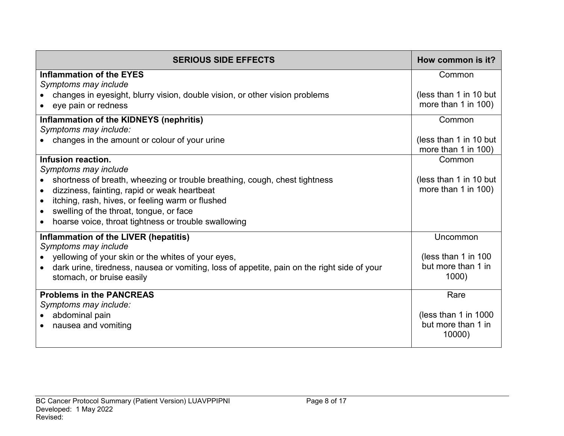| <b>SERIOUS SIDE EFFECTS</b>                                                                                                                                                                                                                                                                               | How common is it?                                      |
|-----------------------------------------------------------------------------------------------------------------------------------------------------------------------------------------------------------------------------------------------------------------------------------------------------------|--------------------------------------------------------|
| <b>Inflammation of the EYES</b><br>Symptoms may include                                                                                                                                                                                                                                                   | Common                                                 |
| changes in eyesight, blurry vision, double vision, or other vision problems<br>eye pain or redness                                                                                                                                                                                                        | (less than 1 in 10 but<br>more than 1 in 100)          |
| Inflammation of the KIDNEYS (nephritis)<br>Symptoms may include:                                                                                                                                                                                                                                          | Common                                                 |
| changes in the amount or colour of your urine                                                                                                                                                                                                                                                             | (less than 1 in 10 but<br>more than 1 in 100)          |
| Infusion reaction.                                                                                                                                                                                                                                                                                        | Common                                                 |
| Symptoms may include<br>shortness of breath, wheezing or trouble breathing, cough, chest tightness<br>dizziness, fainting, rapid or weak heartbeat<br>itching, rash, hives, or feeling warm or flushed<br>swelling of the throat, tongue, or face<br>hoarse voice, throat tightness or trouble swallowing | (less than 1 in 10 but<br>more than 1 in 100)          |
| Inflammation of the LIVER (hepatitis)<br>Symptoms may include                                                                                                                                                                                                                                             | Uncommon                                               |
| yellowing of your skin or the whites of your eyes,<br>dark urine, tiredness, nausea or vomiting, loss of appetite, pain on the right side of your<br>stomach, or bruise easily                                                                                                                            | (less than 1 in 100<br>but more than 1 in<br>1000)     |
| <b>Problems in the PANCREAS</b>                                                                                                                                                                                                                                                                           | Rare                                                   |
| Symptoms may include:<br>abdominal pain<br>nausea and vomiting                                                                                                                                                                                                                                            | (less than 1 in $1000$<br>but more than 1 in<br>10000) |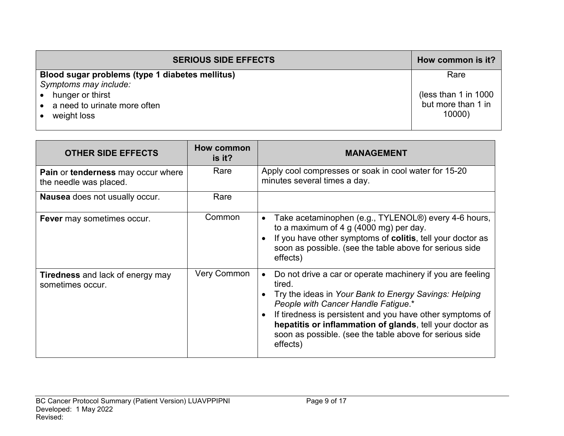| <b>SERIOUS SIDE EFFECTS</b>                     | How common is it?      |
|-------------------------------------------------|------------------------|
| Blood sugar problems (type 1 diabetes mellitus) | Rare                   |
| Symptoms may include:                           |                        |
| hunger or thirst                                | (less than 1 in $1000$ |
| a need to urinate more often                    | but more than 1 in     |
| weight loss                                     | 10000                  |
|                                                 |                        |

| <b>OTHER SIDE EFFECTS</b>                                           | How common<br>is it? | <b>MANAGEMENT</b>                                                                                                                                                                                                                                                                                                                                                    |
|---------------------------------------------------------------------|----------------------|----------------------------------------------------------------------------------------------------------------------------------------------------------------------------------------------------------------------------------------------------------------------------------------------------------------------------------------------------------------------|
| <b>Pain or tenderness may occur where</b><br>the needle was placed. | Rare                 | Apply cool compresses or soak in cool water for 15-20<br>minutes several times a day.                                                                                                                                                                                                                                                                                |
| <b>Nausea</b> does not usually occur.                               | Rare                 |                                                                                                                                                                                                                                                                                                                                                                      |
| Fever may sometimes occur.                                          | Common               | Take acetaminophen (e.g., TYLENOL <sup>®</sup> ) every 4-6 hours,<br>to a maximum of 4 g (4000 mg) per day.<br>If you have other symptoms of colitis, tell your doctor as<br>soon as possible. (see the table above for serious side<br>effects)                                                                                                                     |
| <b>Tiredness</b> and lack of energy may<br>sometimes occur.         | <b>Very Common</b>   | Do not drive a car or operate machinery if you are feeling<br>tired.<br>Try the ideas in Your Bank to Energy Savings: Helping<br>People with Cancer Handle Fatigue.*<br>If tiredness is persistent and you have other symptoms of<br>hepatitis or inflammation of glands, tell your doctor as<br>soon as possible. (see the table above for serious side<br>effects) |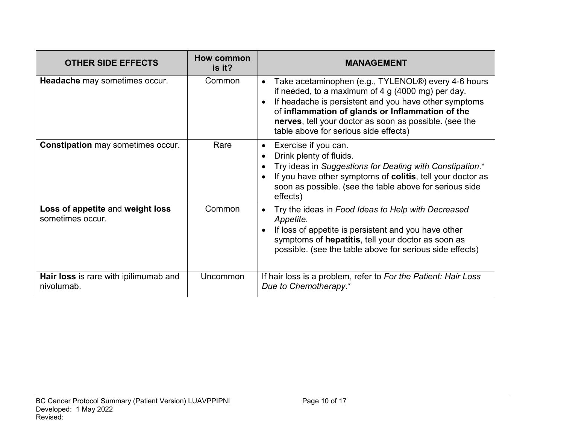| <b>OTHER SIDE EFFECTS</b>                            | How common<br>is it? | <b>MANAGEMENT</b>                                                                                                                                                                                                                                                                                                                       |
|------------------------------------------------------|----------------------|-----------------------------------------------------------------------------------------------------------------------------------------------------------------------------------------------------------------------------------------------------------------------------------------------------------------------------------------|
| Headache may sometimes occur.                        | Common               | Take acetaminophen (e.g., TYLENOL®) every 4-6 hours<br>$\bullet$<br>if needed, to a maximum of $4 g (4000 mg)$ per day.<br>If headache is persistent and you have other symptoms<br>of inflammation of glands or Inflammation of the<br>nerves, tell your doctor as soon as possible. (see the<br>table above for serious side effects) |
| <b>Constipation</b> may sometimes occur.             | Rare                 | Exercise if you can.<br>Drink plenty of fluids.<br>Try ideas in Suggestions for Dealing with Constipation.*<br>If you have other symptoms of colitis, tell your doctor as<br>soon as possible. (see the table above for serious side<br>effects)                                                                                        |
| Loss of appetite and weight loss<br>sometimes occur. | Common               | Try the ideas in Food Ideas to Help with Decreased<br>Appetite.<br>If loss of appetite is persistent and you have other<br>symptoms of hepatitis, tell your doctor as soon as<br>possible. (see the table above for serious side effects)                                                                                               |
| Hair loss is rare with ipilimumab and<br>nivolumab.  | Uncommon             | If hair loss is a problem, refer to For the Patient: Hair Loss<br>Due to Chemotherapy.*                                                                                                                                                                                                                                                 |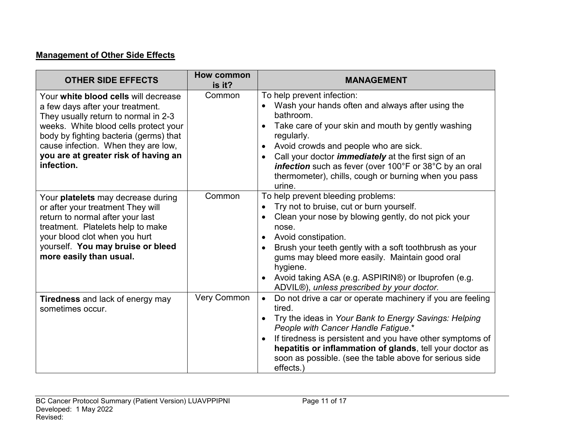# **Management of Other Side Effects**

| <b>OTHER SIDE EFFECTS</b>                                                                                                                                                                                                                                                                        | <b>How common</b><br>is it? | <b>MANAGEMENT</b>                                                                                                                                                                                                                                                                                                                                                                                   |
|--------------------------------------------------------------------------------------------------------------------------------------------------------------------------------------------------------------------------------------------------------------------------------------------------|-----------------------------|-----------------------------------------------------------------------------------------------------------------------------------------------------------------------------------------------------------------------------------------------------------------------------------------------------------------------------------------------------------------------------------------------------|
| Your white blood cells will decrease<br>a few days after your treatment.<br>They usually return to normal in 2-3<br>weeks. White blood cells protect your<br>body by fighting bacteria (germs) that<br>cause infection. When they are low,<br>you are at greater risk of having an<br>infection. | Common                      | To help prevent infection:<br>Wash your hands often and always after using the<br>bathroom.<br>Take care of your skin and mouth by gently washing<br>regularly.<br>Avoid crowds and people who are sick.<br>Call your doctor <i>immediately</i> at the first sign of an<br>infection such as fever (over 100°F or 38°C by an oral<br>thermometer), chills, cough or burning when you pass<br>urine. |
| Your platelets may decrease during<br>or after your treatment They will<br>return to normal after your last<br>treatment. Platelets help to make<br>your blood clot when you hurt<br>yourself. You may bruise or bleed<br>more easily than usual.                                                | Common                      | To help prevent bleeding problems:<br>Try not to bruise, cut or burn yourself.<br>Clean your nose by blowing gently, do not pick your<br>nose.<br>Avoid constipation.<br>Brush your teeth gently with a soft toothbrush as your<br>gums may bleed more easily. Maintain good oral<br>hygiene.<br>Avoid taking ASA (e.g. ASPIRIN®) or Ibuprofen (e.g.<br>ADVIL®), unless prescribed by your doctor.  |
| <b>Tiredness</b> and lack of energy may<br>sometimes occur.                                                                                                                                                                                                                                      | <b>Very Common</b>          | Do not drive a car or operate machinery if you are feeling<br>$\bullet$<br>tired.<br>Try the ideas in Your Bank to Energy Savings: Helping<br>People with Cancer Handle Fatigue.*<br>If tiredness is persistent and you have other symptoms of<br>hepatitis or inflammation of glands, tell your doctor as<br>soon as possible. (see the table above for serious side<br>effects.)                  |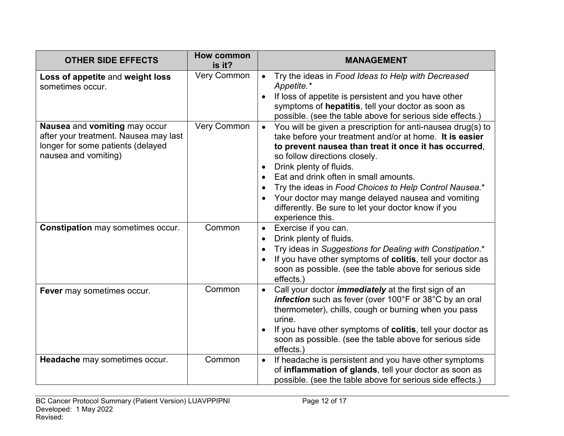| <b>OTHER SIDE EFFECTS</b>                                                                                                           | <b>How common</b><br>is it? | <b>MANAGEMENT</b>                                                                                                                                                                                                                                                                                                                                                                                                                                                              |
|-------------------------------------------------------------------------------------------------------------------------------------|-----------------------------|--------------------------------------------------------------------------------------------------------------------------------------------------------------------------------------------------------------------------------------------------------------------------------------------------------------------------------------------------------------------------------------------------------------------------------------------------------------------------------|
| Loss of appetite and weight loss<br>sometimes occur.                                                                                | Very Common                 | Try the ideas in Food Ideas to Help with Decreased<br>$\bullet$<br>Appetite.*<br>If loss of appetite is persistent and you have other<br>symptoms of hepatitis, tell your doctor as soon as<br>possible. (see the table above for serious side effects.)                                                                                                                                                                                                                       |
| Nausea and vomiting may occur<br>after your treatment. Nausea may last<br>longer for some patients (delayed<br>nausea and vomiting) | <b>Very Common</b>          | You will be given a prescription for anti-nausea drug(s) to<br>take before your treatment and/or at home. It is easier<br>to prevent nausea than treat it once it has occurred,<br>so follow directions closely.<br>Drink plenty of fluids.<br>Eat and drink often in small amounts.<br>Try the ideas in Food Choices to Help Control Nausea.*<br>Your doctor may mange delayed nausea and vomiting<br>differently. Be sure to let your doctor know if you<br>experience this. |
| <b>Constipation may sometimes occur.</b>                                                                                            | Common                      | Exercise if you can.<br>$\bullet$<br>Drink plenty of fluids.<br>$\bullet$<br>Try ideas in Suggestions for Dealing with Constipation.*<br>If you have other symptoms of colitis, tell your doctor as<br>soon as possible. (see the table above for serious side<br>effects.                                                                                                                                                                                                     |
| Fever may sometimes occur.                                                                                                          | Common                      | Call your doctor <i>immediately</i> at the first sign of an<br>$\bullet$<br>infection such as fever (over 100°F or 38°C by an oral<br>thermometer), chills, cough or burning when you pass<br>urine.<br>If you have other symptoms of colitis, tell your doctor as<br>soon as possible. (see the table above for serious side<br>effects.)                                                                                                                                     |
| Headache may sometimes occur.                                                                                                       | Common                      | If headache is persistent and you have other symptoms<br>$\bullet$<br>of inflammation of glands, tell your doctor as soon as<br>possible. (see the table above for serious side effects.)                                                                                                                                                                                                                                                                                      |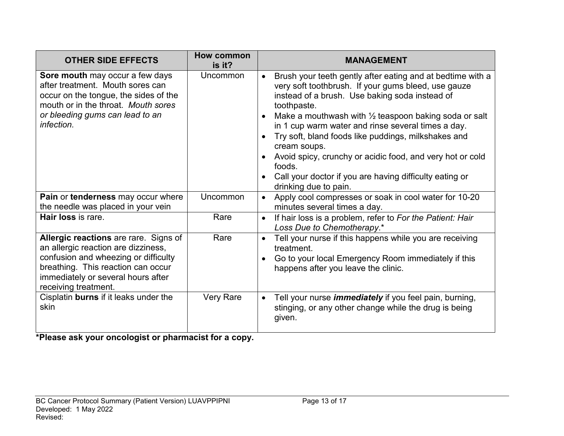| <b>OTHER SIDE EFFECTS</b>                                                                                                                                                                                                | <b>How common</b><br>is it? | <b>MANAGEMENT</b>                                                                                                                                                                                                                                                                                                                                                                                                                                                                                                                              |
|--------------------------------------------------------------------------------------------------------------------------------------------------------------------------------------------------------------------------|-----------------------------|------------------------------------------------------------------------------------------------------------------------------------------------------------------------------------------------------------------------------------------------------------------------------------------------------------------------------------------------------------------------------------------------------------------------------------------------------------------------------------------------------------------------------------------------|
| Sore mouth may occur a few days<br>after treatment. Mouth sores can<br>occur on the tongue, the sides of the<br>mouth or in the throat. Mouth sores<br>or bleeding gums can lead to an<br>infection.                     | Uncommon                    | Brush your teeth gently after eating and at bedtime with a<br>very soft toothbrush. If your gums bleed, use gauze<br>instead of a brush. Use baking soda instead of<br>toothpaste.<br>Make a mouthwash with $\frac{1}{2}$ teaspoon baking soda or salt<br>in 1 cup warm water and rinse several times a day.<br>Try soft, bland foods like puddings, milkshakes and<br>cream soups.<br>Avoid spicy, crunchy or acidic food, and very hot or cold<br>foods.<br>Call your doctor if you are having difficulty eating or<br>drinking due to pain. |
| Pain or tenderness may occur where<br>the needle was placed in your vein                                                                                                                                                 | Uncommon                    | Apply cool compresses or soak in cool water for 10-20<br>$\bullet$<br>minutes several times a day.                                                                                                                                                                                                                                                                                                                                                                                                                                             |
| Hair loss is rare.                                                                                                                                                                                                       | Rare                        | If hair loss is a problem, refer to For the Patient: Hair<br>$\bullet$<br>Loss Due to Chemotherapy.*                                                                                                                                                                                                                                                                                                                                                                                                                                           |
| Allergic reactions are rare. Signs of<br>an allergic reaction are dizziness,<br>confusion and wheezing or difficulty<br>breathing. This reaction can occur<br>immediately or several hours after<br>receiving treatment. | Rare                        | Tell your nurse if this happens while you are receiving<br>$\bullet$<br>treatment.<br>Go to your local Emergency Room immediately if this<br>happens after you leave the clinic.                                                                                                                                                                                                                                                                                                                                                               |
| Cisplatin burns if it leaks under the<br>skin                                                                                                                                                                            | <b>Very Rare</b>            | Tell your nurse <i>immediately</i> if you feel pain, burning,<br>stinging, or any other change while the drug is being<br>given.                                                                                                                                                                                                                                                                                                                                                                                                               |

**\*Please ask your oncologist or pharmacist for a copy.**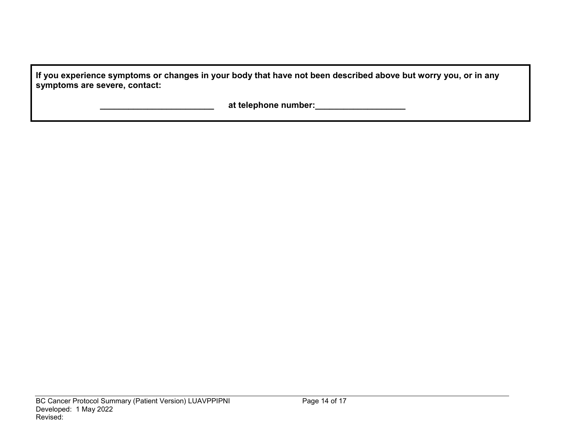| If you experience symptoms or changes in your body that have not been described above but worry you, or in any |  |
|----------------------------------------------------------------------------------------------------------------|--|
| symptoms are severe, contact:                                                                                  |  |

 **\_\_\_\_\_\_\_\_\_\_\_\_\_\_\_\_\_\_\_\_\_\_\_\_ at telephone number:\_\_\_\_\_\_\_\_\_\_\_\_\_\_\_\_\_\_\_**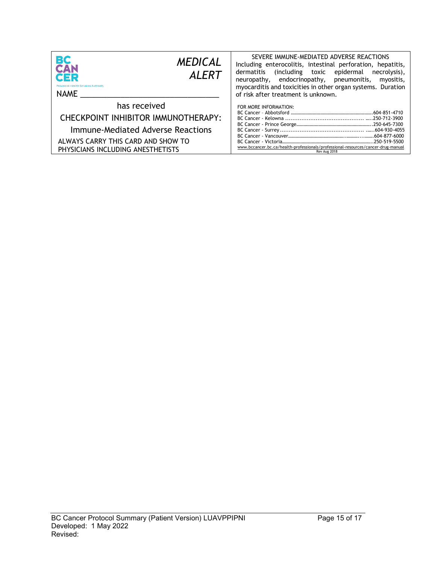| <b>BC</b><br>CAN                                                                                                                                                    | SEVERE IMMUNE-MEDIATED ADVERSE REACTIONS                                                                                   |
|---------------------------------------------------------------------------------------------------------------------------------------------------------------------|----------------------------------------------------------------------------------------------------------------------------|
| <b>MEDICAL</b>                                                                                                                                                      | Including enterocolitis, intestinal perforation, hepatitis,                                                                |
| <b>ALFRT</b>                                                                                                                                                        | dermatitis (including toxic epidermal necrolysis),                                                                         |
| CER                                                                                                                                                                 | neuropathy, endocrinopathy, pneumonitis, myositis,                                                                         |
| <b>Provincial Health Services Authority</b>                                                                                                                         | myocarditis and toxicities in other organ systems. Duration                                                                |
| NAME                                                                                                                                                                | of risk after treatment is unknown.                                                                                        |
| has received<br>CHECKPOINT INHIBITOR IMMUNOTHERAPY:<br>Immune-Mediated Adverse Reactions<br>ALWAYS CARRY THIS CARD AND SHOW TO<br>PHYSICIANS INCLUDING ANESTHETISTS | FOR MORE INFORMATION:<br>www.bccancer.bc.ca/health-professionals/professional-resources/cancer-drug-manual<br>Rev Aug 2018 |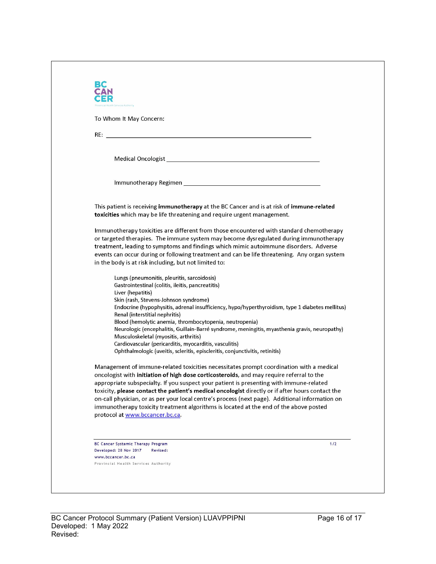| To Whom It May Concern:                                                                          |                                                                                                                                                                                                                                                                                                |
|--------------------------------------------------------------------------------------------------|------------------------------------------------------------------------------------------------------------------------------------------------------------------------------------------------------------------------------------------------------------------------------------------------|
|                                                                                                  |                                                                                                                                                                                                                                                                                                |
|                                                                                                  |                                                                                                                                                                                                                                                                                                |
|                                                                                                  | Medical Oncologist New York and Service Contract of the Contract of the Contract of the Contract of the Contract of the Contract of the Contract of the Contract of the Contract of the Contract of the Contract of the Contra                                                                 |
|                                                                                                  |                                                                                                                                                                                                                                                                                                |
|                                                                                                  |                                                                                                                                                                                                                                                                                                |
| toxicities which may be life threatening and require urgent management.                          | This patient is receiving immunotherapy at the BC Cancer and is at risk of immune-related                                                                                                                                                                                                      |
|                                                                                                  | Immunotherapy toxicities are different from those encountered with standard chemotherapy<br>or targeted therapies. The immune system may become dysregulated during immunotherapy                                                                                                              |
|                                                                                                  | treatment, leading to symptoms and findings which mimic autoimmune disorders. Adverse                                                                                                                                                                                                          |
| in the body is at risk including, but not limited to:                                            | events can occur during or following treatment and can be life threatening. Any organ system                                                                                                                                                                                                   |
| Lungs (pneumonitis, pleuritis, sarcoidosis)<br>Gastrointestinal (colitis, ileitis, pancreatitis) |                                                                                                                                                                                                                                                                                                |
| Liver (hepatitis)                                                                                |                                                                                                                                                                                                                                                                                                |
| Skin (rash, Stevens-Johnson syndrome)                                                            | Endocrine (hypophysitis, adrenal insufficiency, hypo/hyperthyroidism, type 1 diabetes mellitus)                                                                                                                                                                                                |
| Renal (interstitial nephritis)                                                                   |                                                                                                                                                                                                                                                                                                |
| Blood (hemolytic anemia, thrombocytopenia, neutropenia)                                          | Neurologic (encephalitis, Guillain-Barré syndrome, meningitis, myasthenia gravis, neuropathy)                                                                                                                                                                                                  |
| Musculoskeletal (myositis, arthritis)                                                            |                                                                                                                                                                                                                                                                                                |
| Cardiovascular (pericarditis, myocarditis, vasculitis)                                           | Ophthalmologic (uveitis, scleritis, episcleritis, conjunctivitis, retinitis)                                                                                                                                                                                                                   |
|                                                                                                  | Management of immune-related toxicities necessitates prompt coordination with a medical<br>oncologist with initiation of high dose corticosteroids, and may require referral to the                                                                                                            |
|                                                                                                  | appropriate subspecialty. If you suspect your patient is presenting with immune-related<br>toxicity, please contact the patient's medical oncologist directly or if after hours contact the<br>on-call physician, or as per your local centre's process (next page). Additional information on |
|                                                                                                  | immunotherapy toxicity treatment algorithms is located at the end of the above posted                                                                                                                                                                                                          |
| protocol at www.bccancer.bc.ca.                                                                  |                                                                                                                                                                                                                                                                                                |
|                                                                                                  |                                                                                                                                                                                                                                                                                                |